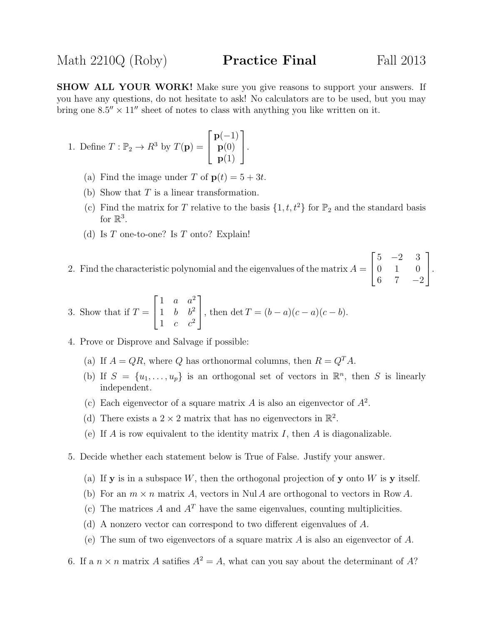SHOW ALL YOUR WORK! Make sure you give reasons to support your answers. If you have any questions, do not hesitate to ask! No calculators are to be used, but you may bring one  $8.5'' \times 11''$  sheet of notes to class with anything you like written on it.

1. Define 
$$
T : \mathbb{P}_2 \to R^3
$$
 by  $T(\mathbf{p}) = \begin{bmatrix} \mathbf{p}(-1) \\ \mathbf{p}(0) \\ \mathbf{p}(1) \end{bmatrix}$ .

- (a) Find the image under T of  $p(t) = 5 + 3t$ .
- (b) Show that  $T$  is a linear transformation.
- (c) Find the matrix for T relative to the basis  $\{1, t, t^2\}$  for  $\mathbb{P}_2$  and the standard basis for  $\mathbb{R}^3$ .
- (d) Is  $T$  one-to-one? Is  $T$  onto? Explain!
- 2. Find the characteristic polynomial and the eigenvalues of the matrix  $A =$  $\sqrt{ }$  $\overline{1}$  $5 -2 3$ 0 1 0 6 7  $-2$ 1  $\vert \cdot$

3. Show that if 
$$
T = \begin{bmatrix} 1 & a & a^2 \\ 1 & b & b^2 \\ 1 & c & c^2 \end{bmatrix}
$$
, then  $\det T = (b - a)(c - a)(c - b)$ .

- 4. Prove or Disprove and Salvage if possible:
	- (a) If  $A = QR$ , where Q has orthonormal columns, then  $R = Q<sup>T</sup>A$ .
	- (b) If  $S = \{u_1, \ldots, u_p\}$  is an orthogonal set of vectors in  $\mathbb{R}^n$ , then S is linearly independent.
	- (c) Each eigenvector of a square matrix A is also an eigenvector of  $A^2$ .
	- (d) There exists a  $2 \times 2$  matrix that has no eigenvectors in  $\mathbb{R}^2$ .
	- (e) If A is row equivalent to the identity matrix  $I$ , then A is diagonalizable.
- 5. Decide whether each statement below is True of False. Justify your answer.
	- (a) If **y** is in a subspace W, then the orthogonal projection of **y** onto W is **y** itself.
	- (b) For an  $m \times n$  matrix A, vectors in Nul A are orthogonal to vectors in Row A.
	- (c) The matrices A and  $A<sup>T</sup>$  have the same eigenvalues, counting multiplicities.
	- (d) A nonzero vector can correspond to two different eigenvalues of A.
	- (e) The sum of two eigenvectors of a square matrix  $A$  is also an eigenvector of  $A$ .
- 6. If a  $n \times n$  matrix A satifies  $A^2 = A$ , what can you say about the determinant of A?